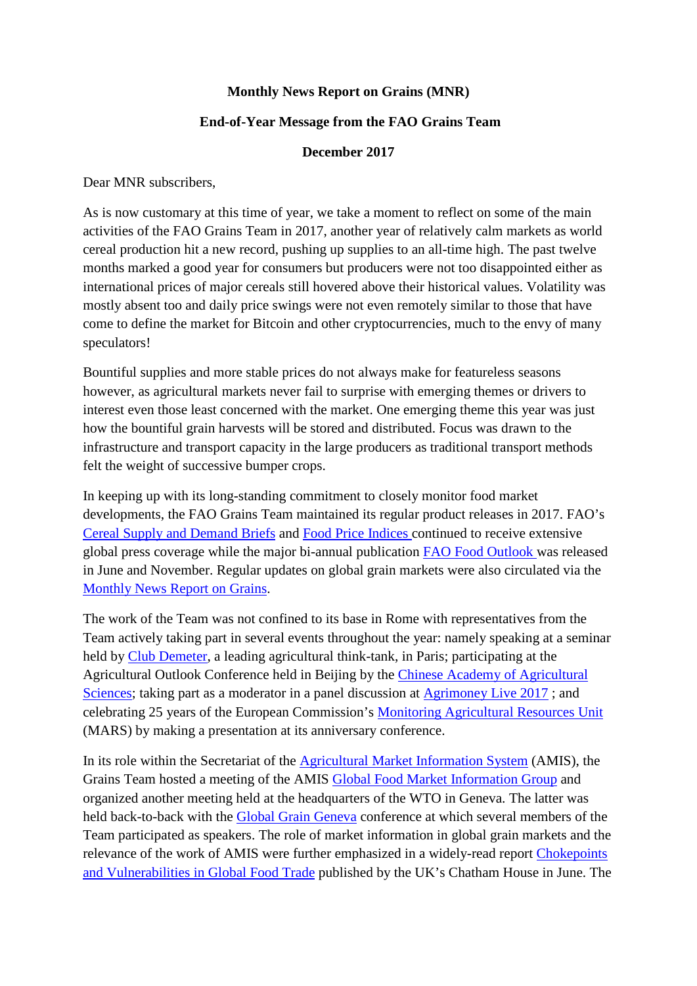## **Monthly News Report on Grains (MNR)**

## **End-of-Year Message from the FAO Grains Team**

## **December 2017**

Dear MNR subscribers,

As is now customary at this time of year, we take a moment to reflect on some of the main activities of the FAO Grains Team in 2017, another year of relatively calm markets as world cereal production hit a new record, pushing up supplies to an all-time high. The past twelve months marked a good year for consumers but producers were not too disappointed either as international prices of major cereals still hovered above their historical values. Volatility was mostly absent too and daily price swings were not even remotely similar to those that have come to define the market for Bitcoin and other cryptocurrencies, much to the envy of many speculators!

Bountiful supplies and more stable prices do not always make for featureless seasons however, as agricultural markets never fail to surprise with emerging themes or drivers to interest even those least concerned with the market. One emerging theme this year was just how the bountiful grain harvests will be stored and distributed. Focus was drawn to the infrastructure and transport capacity in the large producers as traditional transport methods felt the weight of successive bumper crops.

In keeping up with its long-standing commitment to closely monitor food market developments, the FAO Grains Team maintained its regular product releases in 2017. FAO's [Cereal Supply and Demand Briefs](http://www.fao.org/worldfoodsituation/csdb/en/) and [Food Price Indices](http://www.fao.org/worldfoodsituation/foodpricesindex/en/) continued to receive extensive global press coverage while the major bi-annual publication [FAO Food Outlook](http://www.fao.org/giews/reports/food-outlook/en/) was released in June and November. Regular updates on global grain markets were also circulated via the [Monthly News Report on Grains.](http://www.fao.org/economic/est/publications/grains-publications/monthly-news-report-on-grains-mnr/en/)

The work of the Team was not confined to its base in Rome with representatives from the Team actively taking part in several events throughout the year: namely speaking at a seminar held by [Club Demeter,](https://www.clubdemeter.com/fr/) a leading agricultural think-tank, in Paris; participating at the Agricultural Outlook Conference held in Beijing by the [Chinese Academy of Agricultural](http://www.caas.cn/en/index.shtml)  [Sciences;](http://www.caas.cn/en/index.shtml) taking part as a moderator in a panel discussion at **Agrimoney Live 2017**; and celebrating 25 years of the European Commission's [Monitoring Agricultural Resources Unit](https://ec.europa.eu/jrc/en/mars) (MARS) by making a presentation at its anniversary conference.

In its role within the Secretariat of the [Agricultural Market Information System](http://www.amis-outlook.org/) (AMIS), the Grains Team hosted a meeting of the AMIS [Global Food Market Information Group](http://www.amis-outlook.org/events/information-group/en/) and organized another meeting held at the headquarters of the WTO in Geneva. The latter was held back-to-back with the [Global Grain Geneva](http://www.globalgrainevents.com/geneva/details.html) conference at which several members of the Team participated as speakers. The role of market information in global grain markets and the relevance of the work of AMIS were further emphasized in a widely-read report [Chokepoints](https://www.chathamhouse.org/publication/chokepoints-vulnerabilities-global-food-trade)  [and Vulnerabilities in Global Food Trade](https://www.chathamhouse.org/publication/chokepoints-vulnerabilities-global-food-trade) published by the UK's Chatham House in June. The